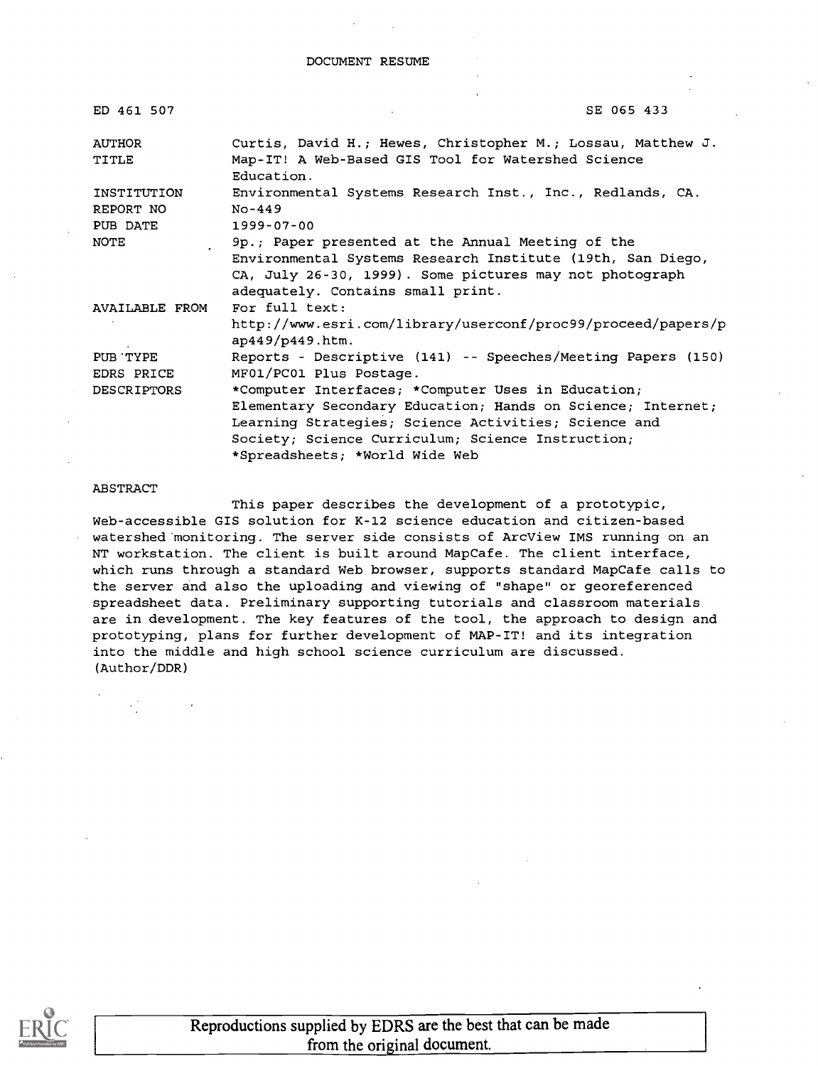| ED 461 507                           | SE 065 433                                                                                                                                                                                                                                                       |
|--------------------------------------|------------------------------------------------------------------------------------------------------------------------------------------------------------------------------------------------------------------------------------------------------------------|
| <b>AUTHOR</b><br>TITLE               | Curtis, David H.; Hewes, Christopher M.; Lossau, Matthew J.<br>Map-IT! A Web-Based GIS Tool for Watershed Science<br>Education.                                                                                                                                  |
| INSTITUTION<br>REPORT NO<br>PUB DATE | Environmental Systems Research Inst., Inc., Redlands, CA.<br>$No-449$<br>$1999 - 07 - 00$                                                                                                                                                                        |
| NOTE                                 | 9p.; Paper presented at the Annual Meeting of the<br>Environmental Systems Research Institute (19th, San Diego,<br>CA, July 26-30, 1999). Some pictures may not photograph<br>adequately. Contains small print.                                                  |
| AVAILABLE FROM                       | For full text:<br>http://www.esri.com/library/userconf/proc99/proceed/papers/p<br>ap449/p449.htm.                                                                                                                                                                |
| PUB TYPE<br>EDRS PRICE               | Reports - Descriptive (141) -- Speeches/Meeting Papers (150)<br>MF01/PC01 Plus Postage.                                                                                                                                                                          |
| DESCRIPTORS                          | *Computer Interfaces; *Computer Uses in Education;<br>Elementary Secondary Education; Hands on Science; Internet;<br>Learning Strategies; Science Activities; Science and<br>Society; Science Curriculum; Science Instruction;<br>*Spreadsheets; *World Wide Web |

#### ABSTRACT

This paper describes the development of a prototypic, Web-accessible GIS solution for K-12 science education and citizen-based watershed monitoring. The server side consists of ArcView IMS running on an NT workstation. The client is built around MapCafe. The client interface, which runs through a standard Web browser, supports standard MapCafe calls to the server and also the uploading and viewing of "shape" or georeferenced spreadsheet data. Preliminary supporting tutorials and classroom materials are in development. The key features of the tool, the approach to design and prototyping, plans for further development of MAP-IT! and its integration into the middle and high school science curriculum are discussed. (Author/DDR)



Reproductions supplied by EDRS are the best that can be made from the original document.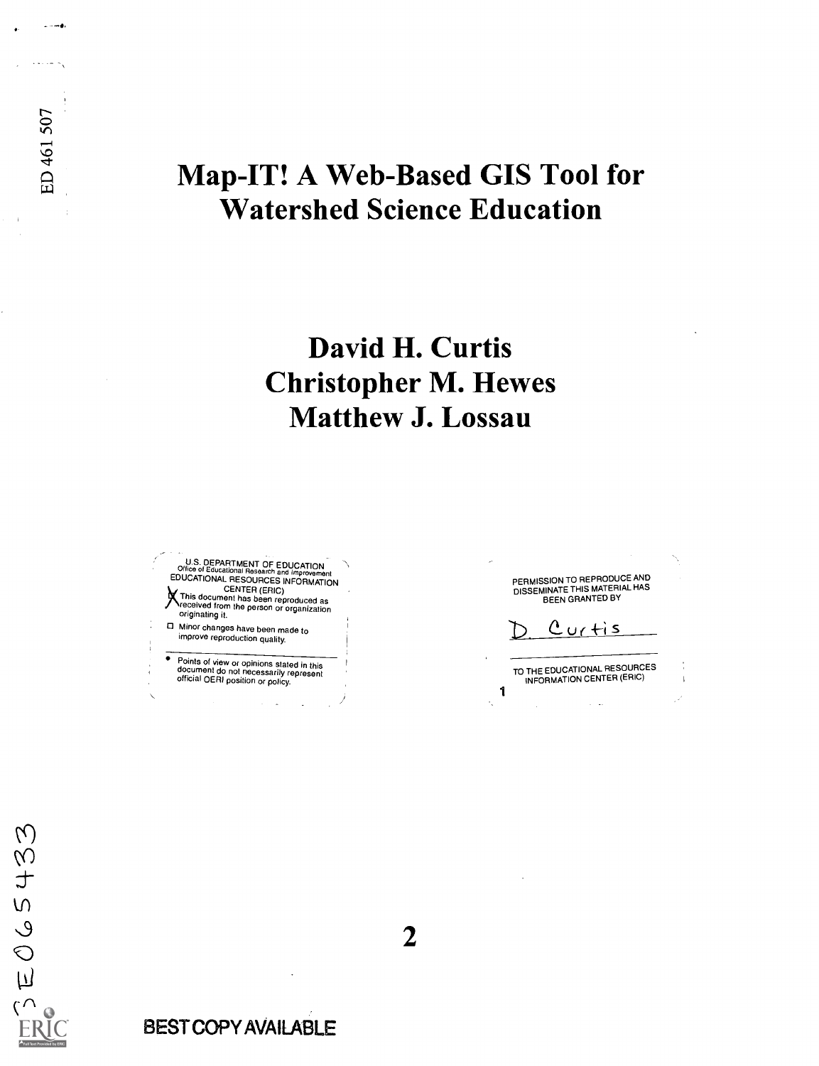# Map-IT! A Web-Based GIS Tool for Watershed Science Education

# David H. Curtis Christopher M. Hewes Matthew J. Lossau

**U.S. DEPARTMENT OF EDUCATION<br>Office of Educational Research and Improvement ADUCATIONAL RESOURCES INFORMATION** XCENTER (ERIC) This document has been reproduced as received from the person or organization originating it.

0 Minor changes have been made to improve reproduction quality.

Points of view or opinions stated in this<br>document do not necessarily represent<br>official OERI position or policy.

PERMISSION TO REPRODUCE AND<br>DISSEMINATE THIS MATERIAL HAS<br>BEEN GRANTED BY

 $Curits$ 

TO THE EDUCATIONAL RESOURCES INFORMATION CENTER (ERIC)1

2

 $\widetilde{\mathcal{E}}$ 

 $\frac{1}{2}$ 

 $5900$ 

 $\overline{\wedge}$ 

ومساليا

 $\cdots$ 

BEST COPY AVAILABLE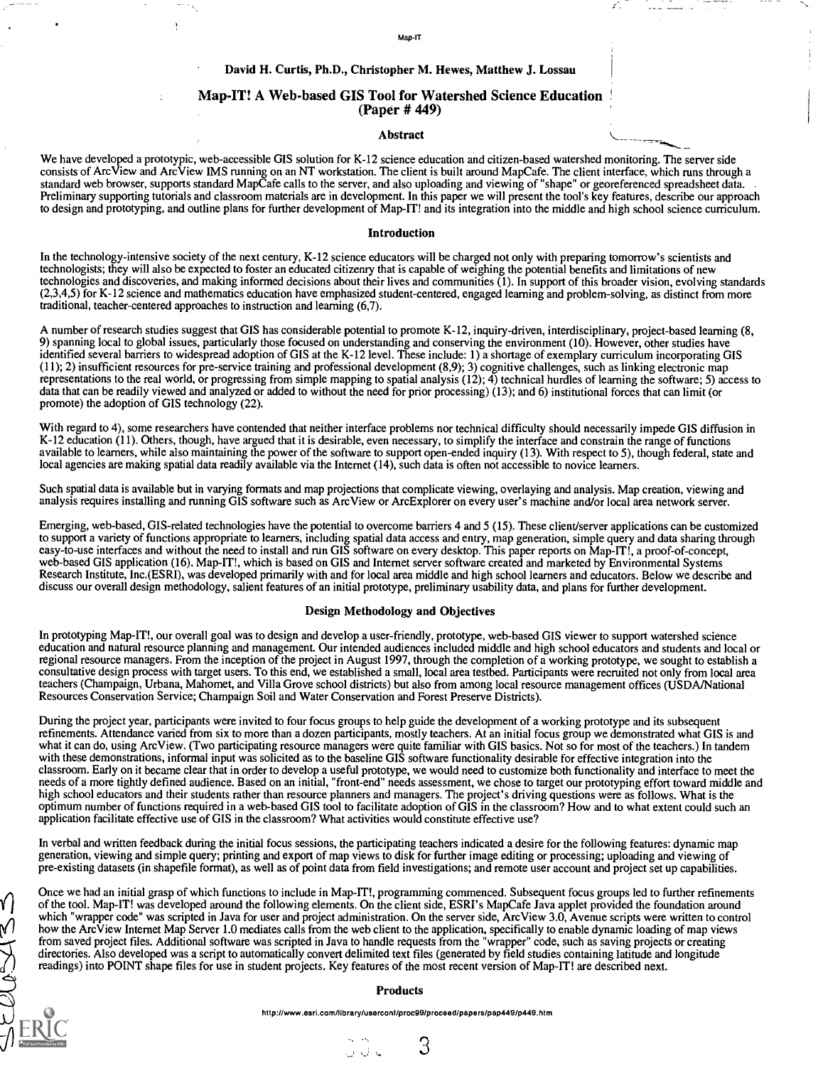#### Map-IT

#### David H. Curtis, Ph.D., Christopher M. Hewes, Matthew J. Lossau

# Map-IT! A Web-based GIS Tool for Watershed Science Education (Paper # 449)

#### Abstract

We have developed a prototypic, web-accessible GIS solution for K-12 science education and citizen-based watershed monitoring. The server side consists of ArcView and ArcView IMS running on an NT workstation. The client is built around MapCafe. The client interface, which runs through a standard web browser, supports standard MapCafe calls to the server, and also uploading and viewing of "shape" or georeferenced spreadsheet data. Preliminary supporting tutorials and classroom materials are in development. In this paper we will present the tool's key features, describe our approach to design and prototyping, and outline plans for further development of Map-IT! and its integration into the middle and high school science curriculum.

#### Introduction

In the technology-intensive society of the next century, K-12 science educators will be charged not only with preparing tomorrow's scientists and technologists; they will also be expected to foster an educated citizenry that is capable of weighing the potential benefits and limitations of new technologies and discoveries, and making informed decisions about their lives and communities (1). In support of this broader vision, evolving standards (2,3,4,5) for K-12 science and mathematics education have emphasized student-centered, engaged learning and problem-solving, as distinct from more traditional, teacher-centered approaches to instruction and learning (6,7).

A number of research studies suggest that GIS has considerable potential to promote K-12, inquiry-driven, interdisciplinary, project-based learning (8, 9) spanning local to global issues, particularly those focused on understanding and conserving the environment (10). However, other studies have identified several barriers to widespread adoption of GIS at the K-12 level. These include: 1) a shortage of exemplary curriculum incorporating GIS (11); 2) insufficient resources for pre-service training and professional development (8,9); 3) cognitive challenges, such as linking electronic map representations to the real world, or progressing from simple mapping to spatial analysis (12); 4) technical hurdles of learning the software; 5) access to data that can be readily viewed and analyzed or added to without the need for prior processing) (13); and 6) institutional forces that can limit(or promote) the adoption of GIS technology (22).

With regard to 4), some researchers have contended that neither interface problems nor technical difficulty should necessarily impede GIS diffusion in K-12 education (11). Others, though, have argued that it is desirable, even necessary, to simplify the interface and constrain the range of functions available to learners, while also maintaining the power of the software to support open-ended inquiry (13). With respect to 5), though federal, state and local agencies are making spatial data readily available via the Internet (14), such data is often not accessible to novice learners.

Such spatial data is available but in varying formats and map projections that complicate viewing, overlaying and analysis. Map creation, viewing and analysis requires installing and running GIS software such as ArcView or Arc Explorer on every user's machine and/or local area network server.

Emerging, web-based, GIS-related technologies have the potential to overcome barriers 4 and 5 (15). These client/server applications can be customized to support a variety of functions appropriate to learners, including spatial data access and entry, map generation, simple query and data sharing through easy-to-use interfaces and without the need to install and run GIS software on every desktop. This paper reports on Map-IT!, a proof-of-concept, web-based GIS application (16). Map-IT!, which is based on GIS and Internet server software created and marketed by Environmental Systems Research Institute, Inc.(ESRI), was developed primarily with and for local area middle and high school learners and educators. Below we describe and Research Institute, Inc.(ESRI), was developed primarily with and for loca discuss our overall design methodology, salient features of an initial prototype, preliminary usability data, and plans for further development.

#### Design Methodology and Objectives

In prototyping Map-IT!, our overall goal was to design and develop a user-friendly, prototype, web-based GIS viewer to support watershed science education and natural resource planning and management. Our intended audiences included middle and high school educators and students and local or regional resource managers. From the inception of the project in August 1997, through the completion of a working prototype, we sought to establish a consultative design process with target users. To this end, we established a small, local area testbed. Participants were recruited not only from local area teachers (Champaign, Urbana, Mahomet, and Villa Grove school districts) but also from among local resource management offices (USDA/National Resources Conservation Service; Champaign Soil and Water Conservation and Forest Preserve Districts).

During the project year, participants were invited to four focus groups to help guide the development of a working prototype and its subsequent refinements. Attendance varied from six to more than a dozen participants, mostly teachers. At an initial focus group we demonstrated what GIS is and what it can do, using ArcView. (Two participating resource managers were quite familiar with GIS basics. Not so for most of the teachers.) In tandem with these demonstrations, informal input was solicited as to the baseline GIS software functionality desirable for effective integration into the classroom. Early on it became clear that in order to develop a useful prototype, we would need to customize both functionality and interface to meet the needs of a more tightly defined audience. Based on an initial, "front-end" needs assessment, we chose to target our prototyping effort toward middle and high school educators and their students rather than resource planners and managers. The project's driving questions were as follows. What is the optimum number of functions required in a web-based GIS tool to facilitate adoption of GIS in the classroom? How and to what extent could such an application facilitate effective use of GIS in the classroom? What activities would constitute effective use?

In verbal and written feedback during the initial focus sessions, the participating teachers indicated a desire for the following features: dynamic map generation, viewing and simple query; printing and export of map views to disk for further image editing or processing; uploading and viewing of pre-existing datasets (in shapefile format), as well as of point data from field investigations; and remote user account and project set up capabilities.

Once we had an initial grasp of which functions to include in Map-IT!, programming commenced. Subsequent focus groups led to further refinements of the tool. Map-IT! was developed around the following elements. On the client side, ESRI's MapCafe Java applet provided the foundation around which "wrapper code" was scripted in Java for user and project administration. On the server side, ArcView 3.0, Avenue scripts were written to control how the ArcView Internet Map Server 1.0 mediates calls from the web client to the application, specifically to enable dynamic loading of map views from saved project files. Additional software was scripted in Java to handle requests from the "wrapper" code, such as saving projects or creating directories. Also developed was a script to automatically convert delimited text files (generated by field studies containing latitude and longitude readings) into POINT shape files for use in student projects. Key features of the most recent version of Map-IT! are described next.

#### Products

http://www.esd.com/Iibrary/usercont/proc99/proceed/papers/pap449/p449.htm

 $\alpha_{\rm eff} = 1.06$  $\mathbb{C} \subset \mathbb{C}^3$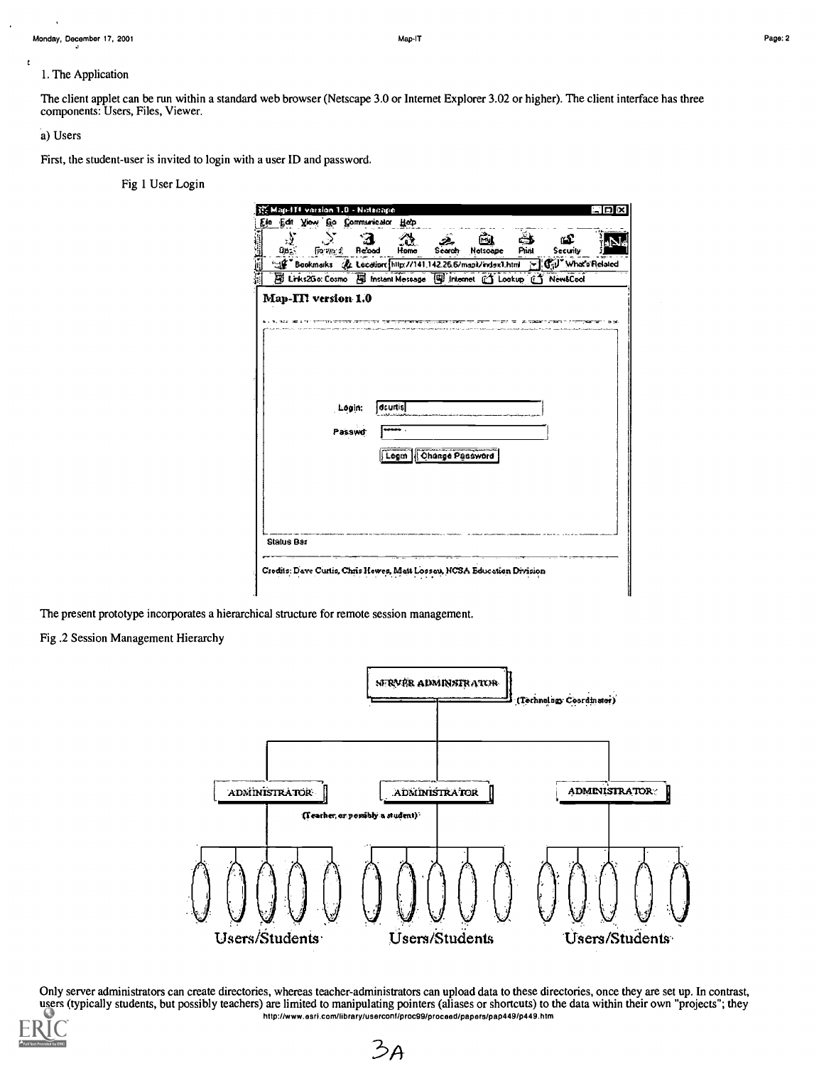# 1. The Application

The client applet can be run within a standard web browser (Netscape 3.0 or Internet Explorer 3.02 or higher). The client interface has three components: Users, Files, Viewer.

# a) Users

 $\epsilon$ 

First, the student-user is invited to login with a user ID and password.

Fig 1 User Login

| 张 Map-ITF version 1.0 - Netscape<br>Ein Edit Yow Go Communicator Help   |                     |                                                                                      |                       |       |          | םו  |
|-------------------------------------------------------------------------|---------------------|--------------------------------------------------------------------------------------|-----------------------|-------|----------|-----|
| 0<                                                                      | $\sim$ 70 $\sim$ 1. | Re'oad<br>Home                                                                       | Гŵ<br>Search Netscape | Print | Security | нN. |
|                                                                         |                     | Se Bookmarks & Location http://141.142.26.6/map3/evisx1.html [8] Gil" What's Related |                       |       |          |     |
|                                                                         |                     | El Links2Go: Cosmo El Instant Message   Internet CJ Lookup CJ NewtCool               |                       |       |          |     |
| Map-III version 1.0                                                     |                     |                                                                                      |                       |       |          |     |
|                                                                         |                     |                                                                                      |                       |       |          |     |
|                                                                         |                     |                                                                                      |                       |       |          |     |
|                                                                         |                     |                                                                                      |                       |       |          |     |
|                                                                         |                     |                                                                                      |                       |       |          |     |
|                                                                         |                     |                                                                                      |                       |       |          |     |
|                                                                         | Login:              | dcurtisl                                                                             |                       |       |          |     |
|                                                                         | Passwd              | .                                                                                    |                       |       |          |     |
|                                                                         |                     |                                                                                      |                       |       |          |     |
|                                                                         |                     | Logm   Change Password                                                               |                       |       |          |     |
|                                                                         |                     |                                                                                      |                       |       |          |     |
|                                                                         |                     |                                                                                      |                       |       |          |     |
|                                                                         |                     |                                                                                      |                       |       |          |     |
|                                                                         |                     |                                                                                      |                       |       |          |     |
| <b>Status Bar</b>                                                       |                     |                                                                                      |                       |       |          |     |
|                                                                         |                     |                                                                                      |                       |       |          |     |
| Credits: Dave Curtis, Chris Hewes, Matt Lossen, NCSA Education Division |                     |                                                                                      |                       |       |          |     |

The present prototype incorporates a hierarchical structure for remote session management.

Fig. 2 Session Management Hierarchy



Only server administrators can create directories, whereas teacher-administrators can upload data to these directories, once they are set up. In contrast, users (typically students, but possibly teachers) are limited to manipulating pointers (aliases or shortcuts) to the data within their own "projects"; they http://www.esri.com/library/userconf/proc99/proceed/papers/pap449/p449.htm

 $3A$ 

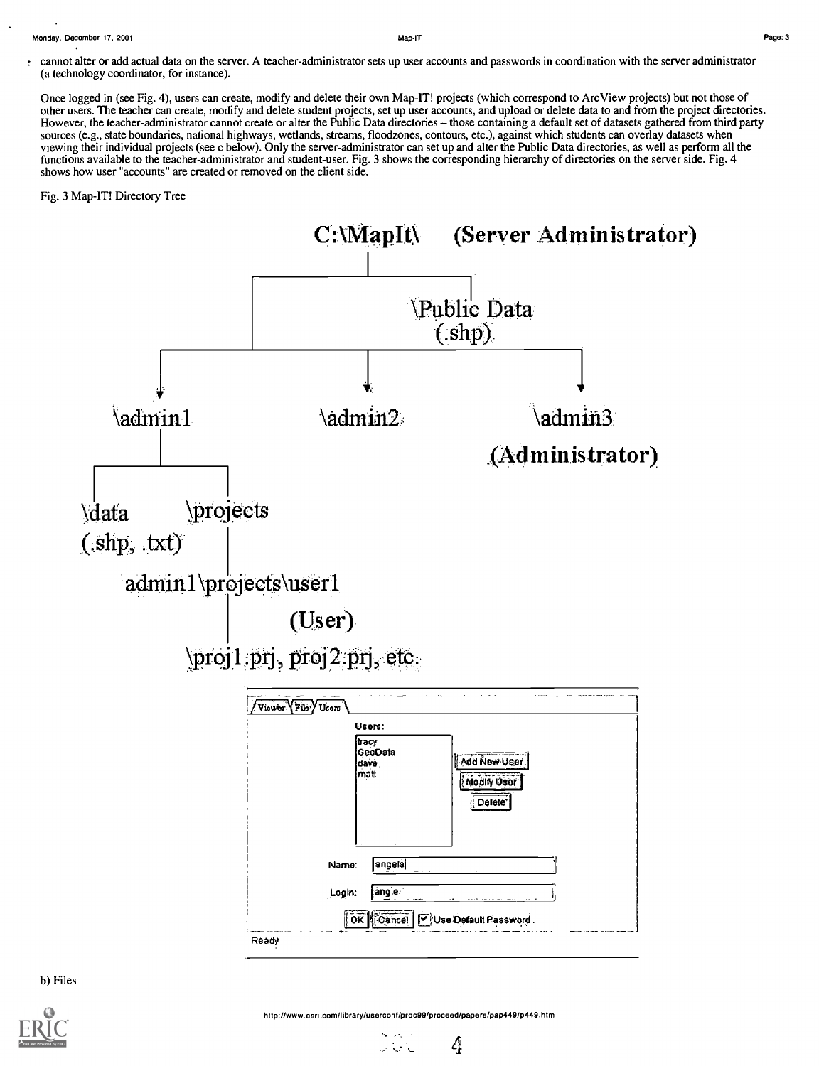Monday, December 17, 2001 Map-IT Page:3

Once logged in (see Fig. 4), users can create, modify and delete their own Map-IT! projects (which correspond to ArcView projects) but not those of other users. The teacher can create, modify and delete student projects, set up user accounts, and upload or delete data to and from the project directories. However, the teacher-administrator cannot create or alter the Public Data directories - those containing a default set of datasets gathered from third party sources (e.g., state boundaries, national highways, wetlands, streams, floodzones, contours, etc.), against which students can overlay datasets when viewing their individual projects (see c below). Only the server-administrator can set up and alter the Public Data directories, as well as perform all the functions available to the teacher-administrator and student-user. Fig. 3 shows the corresponding hierarchy of directories on the server side. Fig. 4 shows how user "accounts" are created or removed on the client side.

# Fig. 3 Map-IT! Directory Tree



b) Files



ن المراد

4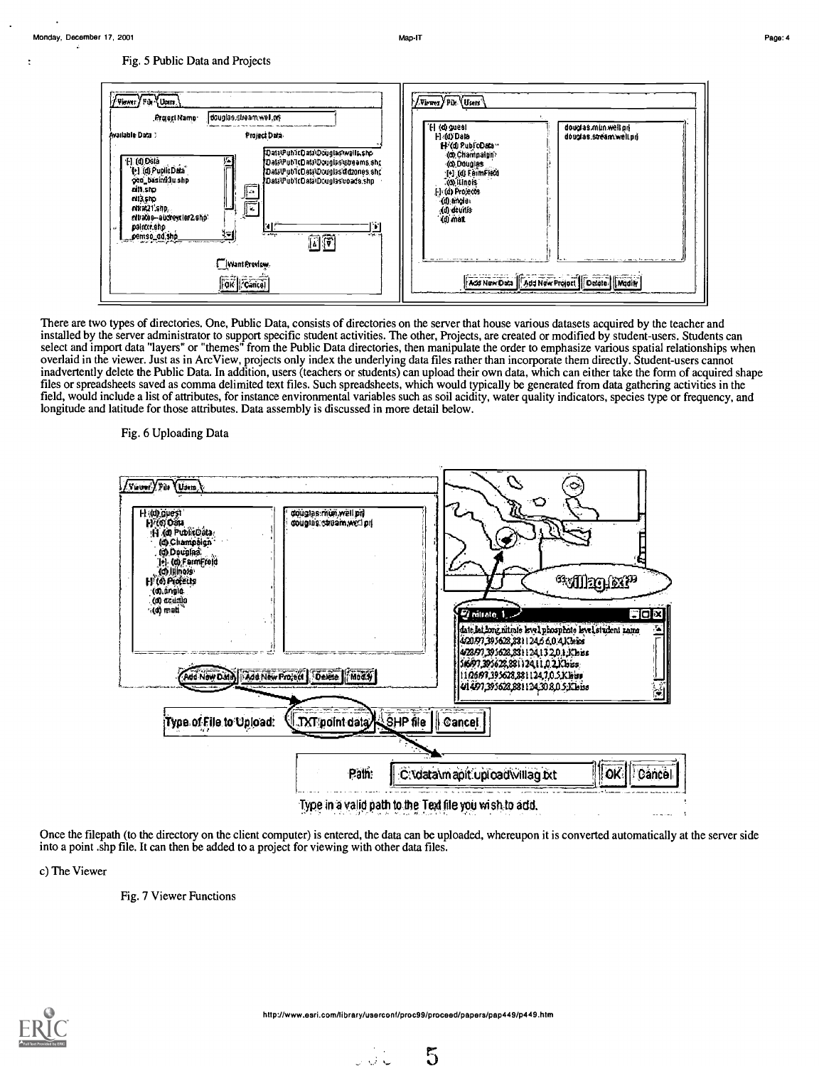Map-IT



There are two types of directories. One, Public Data, consists of directories on the server that house various datasets acquired by the teacher and installed by the server administrator to support specific student activities. The other, Projects, are created or modified by student-users. Students can select and import data "layers" or "themes" from the Public Data dir overlaid in the viewer. Just as in ArcView, projects only index the underlying data files rather than incorporate them directly. Student-users cannot inadvertently delete the Public Data. In addition, users (teachers or students) can upload their own data, which can either take the form of acquired shape files or spreadsheets saved as comma delimited text files. Such spreadsheets, which would typically be generated from data gathering activities in the field, would include a list of attributes, for instance environmental variables such as soil acidity, water quality indicators, species type or frequency, and longitude and latitude for those attributes. Data assembly is discussed in more detail below.

Fig. 6 Uploading Data



Once the filepath (to the directory on the client computer) is entered, the data can be uploaded, whereupon it is converted automatically at the server side into a point shp file. It can then be added to a project for viewing with other data files.

c) The Viewer

Fig. 7 Viewer Functions



نه ان ر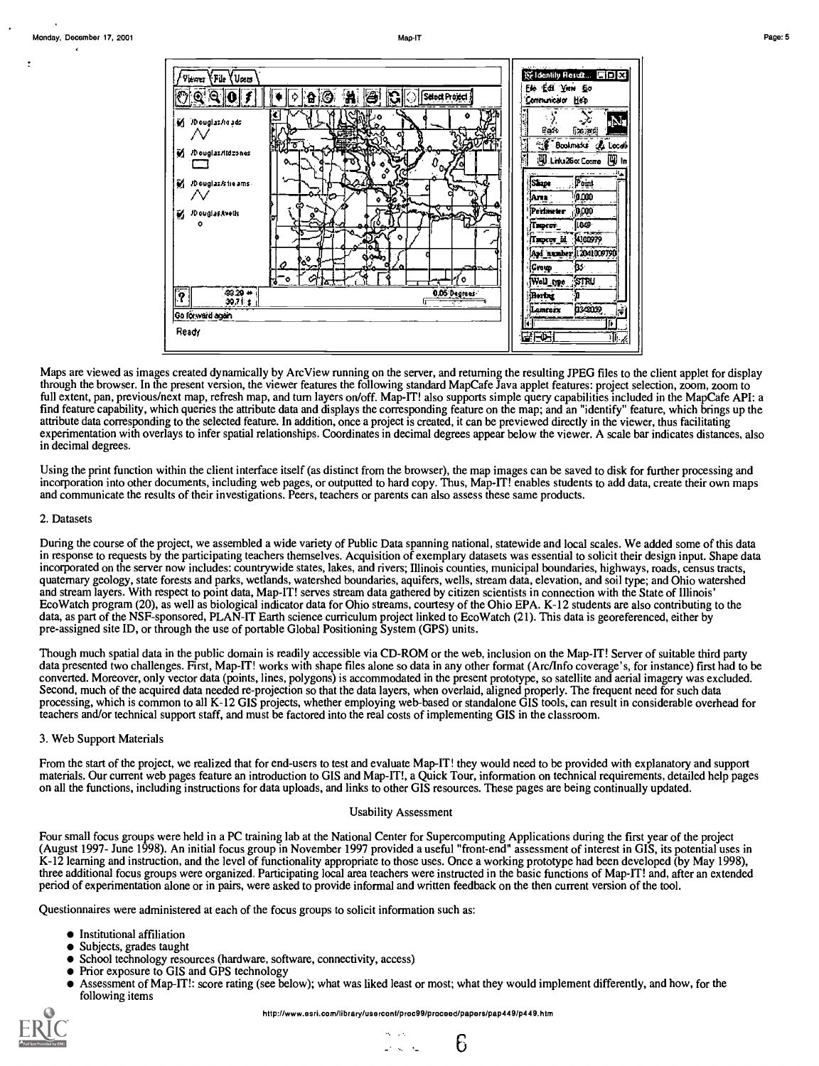

Maps are viewed as images created dynamically by ArcView running on the server, and returning the resulting JPEG files to the client applet for display through the browser. In the present version, the viewer features the following standard MapCafe Java applet features: project selection, zoom, zoom to full extent, pan, previous/next map, refresh map, and turn layers on/of find feature capability, which queries the attribute data and displays the corresponding feature on the map; and an "identify" feature, which brings up the attribute data corresponding to the selected feature. In addition, once a project is created, it can be previewed directly in the viewer, thus facilitating experimentation with overlays to infer spatial relationships. Coordinates in decimal degrees appear below the viewer. A scale bar indicates distances, also in decimal degrees.

Using the print function within the client interface itself (as distinct from the browser), the map images can be saved to disk for further processing and incorporation into other documents, including web pages, or outputted to hard copy. Thus, Map-IT! enables students to add data, create their own maps and communicate the results of their investigations. Peers, teachers or parents can also assess these same products.

### 2. Datasets

During the course of the project, we assembled a wide variety of Public Data spanning national, statewide and local scales. We added some of this data in response to requests by the participating teachers themselves. Acqui incorporated on the server now includes: countrywide states, lakes, and rivers; Illinois counties, municipal boundaries, highways, roads, census tracts, quaternary geology, state forests and parks, wetlands, watershed boundaries, aquifers, wells, stream data, elevation, and soil type; and Ohio watershed and stream layers. With respect to point data, Map-IT! serves stream data gathered by citizen scientists in connection with the State of Illinois' EcoWatch program (20), as well as biological indicator data for Ohio streams, courtesy of the Ohio EPA. K-12 students are also contributing to the data, as part of the NSF-sponsored, PLAN-IT Earth science curriculum project linked to EcoWatch (21). This data is georeferenced, either by pre-assigned site ID, or through the use of portable Global Positioning System (GPS) units.

Though much spatial data in the public domain is readily accessible via CD-ROM or the web, inclusion on the Map-IT! Server of suitable third party data presented two challenges. First, Map-IT! works with shape files alone so data in any other format (Arc/Info coverage's, for instance) first had to be converted. Moreover, only vector data (points, lines, polygons) is accommodated in the present prototype, so satellite and aerial imagery was excluded. Second, much of the acquired data needed re-projection so that the data layers, when overlaid, aligned properly. The frequent need for such data processing, which is common to all K-12 GIS projects, whether employing web-based or standalone GIS tools, can result in considerable overhead for teachers and/or technical support staff, and must be factored into the real costs of implementing GIS in the classroom.

#### 3. Web Support Materials

From the start of the project, we realized that for end-users to test and evaluate Map-IT! they would need to be provided with explanatory and support materials. Our current web pages feature an introduction to GIS and Map-IT!, a Quick Tour, information on technical requirements, detailed help pages on all the functions, including instructions for data uploads, and links to other GIS resources. These pages are being continually updated.

### **Usability Assessment**

Four small focus groups were held in a PC training lab at the National Center for Supercomputing Applications during the first year of the project (August 1997- June 1998). An initial focus group in November 1997 provided K-12 learning and instruction, and the level of functionality appropriate to those uses. Once a working prototype had been developed (by May 1998), three additional focus groups were organized. Participating local area teachers were instructed in the basic functions of Map-IT! and, after an extended period of experimentation alone or in pairs, were asked to provide informal and written feedback on the then current version of the tool.

Questionnaires were administered at each of the focus groups to solicit information such as:

- Institutional affiliation
- · Subjects, grades taught
- School technology resources (hardware, software, connectivity, access)
- Prior exposure to GIS and GPS technology
- Assessment of Map-IT!: score rating (see below); what was liked least or most; what they would implement differently, and how, for the following items

http://www.esri.com/library/usercont/proc99/proceed/papers/pap449/p449.htm

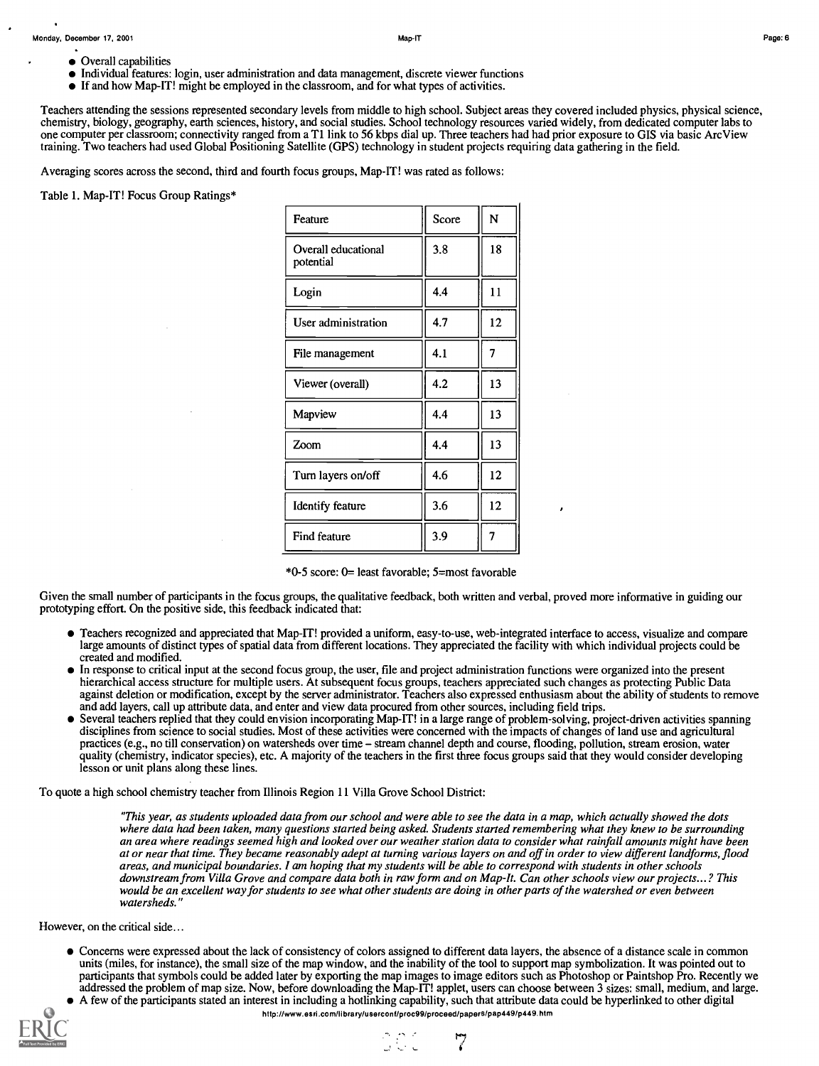- Overall capabilities
- Individual features: login, user administration and data management, discrete viewer functions
- If and how Map-IT! might be employed in the classroom, and for what types of activities.

Teachers attending the sessions represented secondary levels from middle to high school. Subject areas they covered included physics, physical science, chemistry, biology, geography, earth sciences, history, and social studies. School technology resources varied widely, from dedicated computer labs to one computer per classroom; connectivity ranged from a T1 link to 56 kbps dial up. Three teachers had had prior exposure to GIS via basicArc View training. Two teachers had used Global Positioning Satellite (GPS) technology in student projects requiring data gathering in the field.

Averaging scores across the second, third and fourth focus groups, Map-IT! was rated as follows:

Table 1. Map-IT! Focus Group Ratings\*

| Feature                          | Score | N              |  |
|----------------------------------|-------|----------------|--|
| Overall educational<br>potential | 3.8   | 18             |  |
| Login                            | 4.4   | 11             |  |
| User administration              | 4.7   | 12             |  |
| File management                  | 4.1   | $\overline{7}$ |  |
| Viewer (overall)                 | 4.2   | 13             |  |
| Mapview                          | 4.4   | 13             |  |
| Zoom                             | 4.4   | 13             |  |
| Turn layers on/off               | 4.6   | 12             |  |
| <b>Identify feature</b>          | 3.6   | 12             |  |
| Find feature                     | 3.9   |                |  |

\*0-5 score: 0= least favorable; 5=most favorable

Given the small number of participants in the focus groups, the qualitative feedback, both written and verbal, proved more informative in guiding our prototyping effort. On the positive side, this feedback indicated that:

- Teachers recognized and appreciated that Map-IT! provided a uniform, easy-to-use, web-integrated interface to access, visualize and compare large amounts of distinct types of spatial data from different locations. They appreciated the facility with which individual projects could be created and modified.
- In response to critical input at the second focus group, the user, file and project administration functions were organized into the present hierarchical access structure for multiple users. At subsequent focus groups, teachers appreciated such changes as protecting Public Data against deletion or modification, except by the server administrator. Teachers also expressed enthusiasm about the ability of students to remove and add layers, call up attribute data, and enter and view data procured from other sources, including field trips.
- Several teachers replied that they could envision incorporating Map-IT! in a large range of problem-solving, project-driven activities spanning disciplines from science to social studies. Most of these activities were concerned with the impacts of changes of land use and agricultural practices (e.g., no till conservation) on watersheds over time – stream channel depth and course, flooding, pollution, stream erosion, water quality (chemistry, indicator species), etc. A majority of the teachers in the first three focus groups said that they would consider developing lesson or unit plans along these lines.

To quote a high school chemistry teacher from Illinois Region 11 Villa Grove School District:

"This year, as students uploaded data from our school and were able to see the data in a map, which actually showed the dots where data had been taken, many questions started being asked. Students started remembering what they knew to be surrounding an area where readings seemed high and looked over our weather station data to consider what rainfall amounts might have been at or near that time. They became reasonably adept at turning various layers on and off in order to view different landforms, flood areas, and municipal boundaries. I am hoping that my students will be able to correspond with students in other schools<br>downstream from Villa Grove and compare data both in raw form and on Map-It. Can other schools view ou downstream from Villa Grove and compare data both in raw form and on Map-It. Can other schools view our projects...? This would be an excellent way for students to see what other students are doing in other parts of the watershed or even between watersheds."

However, on the critical side...

- Concerns were expressed about the lack of consistency of colors assigned to different data layers, the absence of a distance scale in common units (miles, for instance), the small size of the map window, and the inability of the tool to support map symbolization. It was pointed out to participants that symbols could be added later by exporting the map images to image editors such as Photoshop or Paintshop Pro. Recently we addressed the problem of map size. Now, before downloading the Map-IT! applet, users can choose between 3 sizes: small, medium, and large. A few of the participants stated an interest in including a hotlinking capability, such that attribute data could be hyperlinked to other digital
- hilp://www.esrlcom/library/userconfrproc99/proceed/papers/pap449/p449.htm



a di C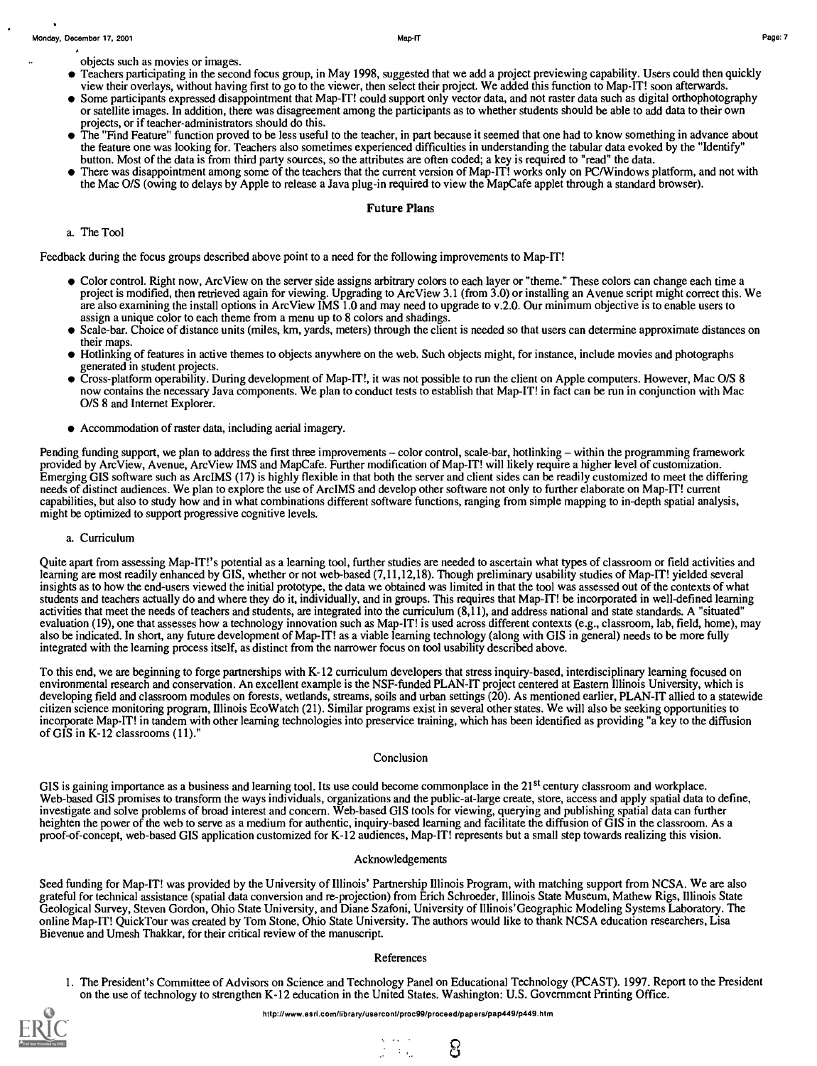objects such as movies or images.

- Teachers participating in the second focus group, in May 1998, suggested that we add a project previewing capability. Users could then quickly view their overlays, without having first to go to the viewer, then select their project. We added this function to Map-IT! soon afterwards.
- Some participants expressed disappointment that Map-IT! could support only vector data, and not raster data such as digital orthophotography or satellite images. In addition, there was disagreement among the participants as to whether students should be able to add data to their own projects, or if teacher-administrators should do this.
- The "Find Feature" function proved to be less useful to the teacher, in part because it seemed that one had to know something in advance about the feature one was looking for. Teachers also sometimes experienced difficulties in understanding the tabular data evoked by the "Identify" button. Most of the data is from third party sources, so the attributes are often coded; a key is required to "read" the data.
- There was disappointment among some of the teachers that the current version of Map-IT! works only on PC/Windows platform, and not with the Mac 0/S (owing to delays by Apple to release a Java plug-in required to view the Map Cafe applet through a standard browser).

## Future Plans

# a. The Tool

Feedback during the focus groups described above point to a need for the following improvements to Map-IT!

- Color control. Right now, Arc View on the server side assigns arbitrary colors to each layer or "theme." These colors can change each time a project is modified, then retrieved again for viewing. Upgrading to Arc View 3.1 (from 3.0) or installing an Avenue script might correct this. We are also examining the install options in Arc View IMS 1.0 and may need to upgrade to v.2.0. Our minimum objective is to enable users to assign a unique color to each theme from a menu up to 8 colors and shadings.
- Scale-bar. Choice of distance units (miles, km, yards, meters) through the client is needed so that users can determine approximate distances on their maps.
- Hotlinking of features in active themes to objects anywhere on the web. Such objects might, for instance, include movies and photographs  $\bullet$ generated in student projects.
- Cross-platform operability. During development of Map-IT!, it was not possible to run the client on Apple computers. However, Mac 0/S 8 now contains the necessary Java components. We plan to conduct tests to establish that Map-IT! in fact can be run in conjunction with Mac 0/S 8 and Internet Explorer.
- Accommodation of raster data, including aerial imagery.

Pending funding support, we plan to address the first three improvements – color control, scale-bar, hotlinking – within the programming framework provided by ArcView, Avenue, ArcView IMS and MapCafe. Further modification of Map-IT! will likely require a higher level of customization. Emerging GIS software such as ArcIMS (17) is highly flexible in that both the server and client sides can be readily customized to meet the differing needs of distinct audiences. We plan to explore the use of ArcIMS and develop other software not only to further elaborate on Map-IT! current capabilities, but also to study how and in what combinations different software functions, ranging from simple mapping to in-depth spatial analysis, might be optimized to support progressive cognitive levels.

a. Curriculum

Quite apart from assessing Map-IT!'s potential as a learning tool, further studies are needed to ascertain what types of classroom or field activities and learning are most readily enhanced by GIS, whether or not web-based (7,11,12,18). Though preliminary usability studies of Map-IT! yielded several insights as to how the end-users viewed the initial prototype, the data we obtained was limited in that the tool was assessed out of the contexts of what students and teachers actually do and where they do it, individually, and in groups. This requires that Map-IT! be incorporated in well-defined learning activities that meet the needs of teachers and students, are integrated into the curriculum (8,11), and address national and state standards. A "situated" evaluation (19), one that assesses how a technology innovation such as Map-IT! is used across different contexts (e.g., classroom, lab, field, home), may also be indicated. In short, any future development of Map-IT! as a viable learning technology (along with GIS in general) needs to be more fully integrated with the learning process itself, as distinct from the narrower focus on tool usability described above.

To this end, we are beginning to forge partnerships with K-12 curriculum developers that stress inquiry-based, interdisciplinary learning focused on environmental research and conservation. An excellent example is the NSF-funded PLAN-IT project centered at Eastern Illinois University, which is developing field and classroom modules on forests, wetlands, streams, soils and urban settings (20). As mentioned earlier, PLAN-IT allied to a statewide citizen science monitoring program, Illinois EcoWatch (21). Similar programs exist in several other states. We will also be seeking opportunities to incorporate Map-IT! in tandem with other learning technologies into preservice training, which has been identified as providing "a key to the diffusion of GIS in K-12 classrooms (11)."

### Conclusion

GIS is gaining importance as a business and learning tool. Its use could become commonplace in the  $21<sup>st</sup>$  century classroom and workplace. Web-based GIS promises to transform the ways individuals, organizations and the public-at-large create, store, access and apply spatial data to define, investigate and solve problems of broad interest and concern. Web-based GIS tools for viewing, querying and publishing spatial data can further heighten the power of the web to serve as a medium for authentic, inquiry-based learning and facilitate the diffusion of GIS in the classroom. Asa proof-of-concept, web-based GIS application customized for K-12 audiences, Map-IT! represents but a small step towards realizing this vision.

#### Acknowledgements

Seed funding for Map-IT! was provided by the University of Illinois' Partnership Illinois Program, with matching support from NCSA. We are also grateful for technical assistance (spatial data conversion and re-projection) from Erich Schroeder, Illinois State Museum, Mathew Rigs, Illinois State Geological Survey, Steven Gordon, Ohio State University, and Diane Szafoni, University of Illinois'Geographic Modeling Systems Laboratory. The online Map-IT! QuickTour was created by Tom Stone, Ohio State University. The authors would like to thank NCSA education researchers, Lisa Bievenue and Umesh Thakkar, for their critical review of the manuscript.

#### References

1. The President's Committee of Advisors on Science and Technology Panel on Educational Technology (PCAST). 1997. Report to the President on the use of technology to strengthen K-12 education in the United States. Washington: U.S. Government Printing Office.

ပြ



 $\mathbb{R}^{N_{\mathrm{max}}-1}$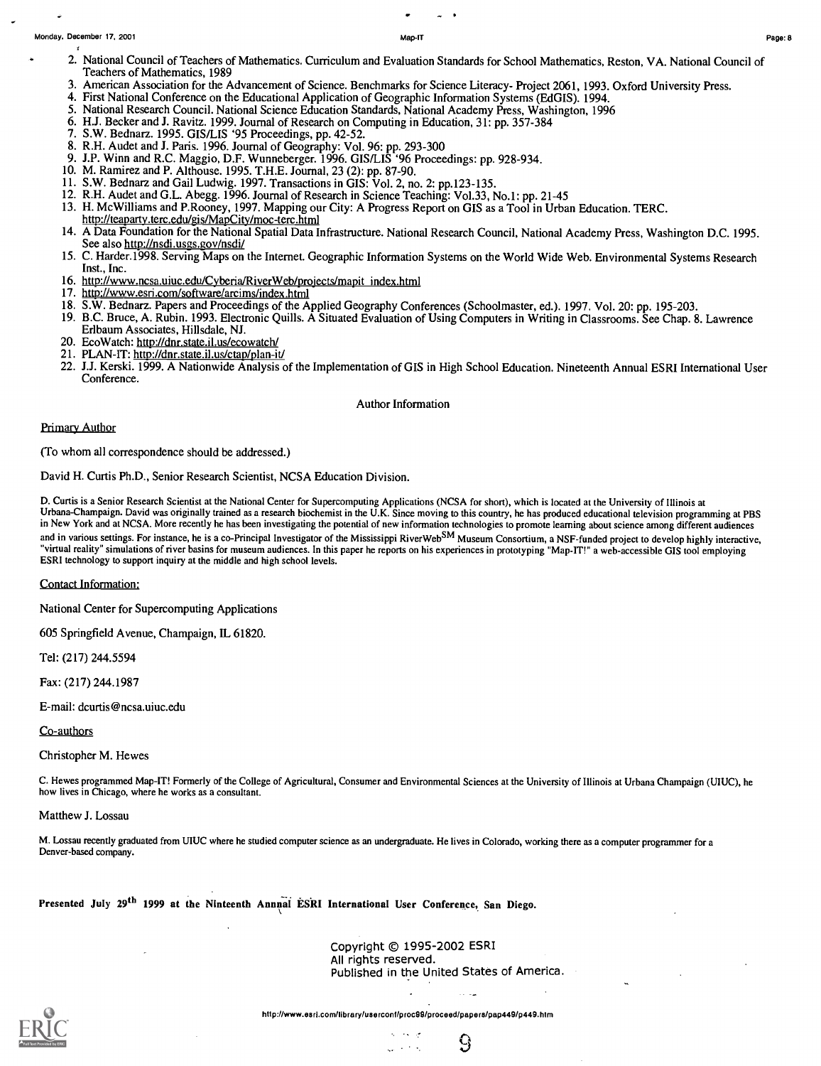J.

- 2. National Council of Teachers of Mathematics. Curriculum and Evaluation Standards for School Mathematics, Reston, VA. National Council of Teachers of Mathematics, 1989
- 3. American Association for the Advancement of Science. Benchmarks for Science Literacy- Project 2061, 1993. Oxford University Press.
- 4. First National Conference on the Educational Application of Geographic Information Systems (EdGIS). 1994.
- 5. National Research Council. National Science Education Standards, National Academy Press, Washington, 1996
- 6. HJ. Becker and J. Ravitz. 1999. Journal of Research on Computing in Education, 31: pp. 357-384
- 7. S.W. Bednarz. 1995. GIS/LIS '95 Proceedings, pp. 42-52.
- 8. R.H. Audet and J. Paris. 1996. Journal of Geography: Vol. 96: pp. 293-300
- 9. J.P. Winn and R.C. Maggio, D.F. Wunneberger. 1996. GIS/LIS '96 Proceedings: pp. 928-934.
- 10. M. Ramirez and P. Althouse. 1995. T.H.E. Journal, 23 (2): pp. 87-90.
- 11. S.W. Bednarz and Gail Ludwig. 1997. Transactions in GIS: Vol. 2, no. 2: pp.123-135.
- 12. R.H. Audet and G.L. Abegg. 1996. Journal of Research in Science Teaching: Vol.33, No.1: pp. 21-45
- 13. H. McWilliams and P.Rooney, 1997. Mapping our City: A Progress Report on GIS as a Tool in Urban Education. TERC. http://teaparty.terc.edu/gis/MapCity/moc-terc.html
- 14. A Data Foundation for the National Spatial Data Infrastructure. National Research Council, National Academy Press, Washington D.C. 1995. See also http://nsdi,usgs.gov/nsdi/
- 15. C. Harder.1998. Serving Maps on the Internet. Geographic Information Systems on the World Wide Web. Environmental Systems Research Inst., Inc.
- 16. http://www.ncsa.uiuc.edu/Cyberia/RiverWeb/projects/mapit index.html
- 17. http://www.esri.com/software/arcims/index.html
- 18. S.W. Bednarz. Papers and Proceedings of the Applied Geography Conferences (Schoolmaster, ed.). 1997. Vol. 20: pp. 195-203.
- 19. B.C. Bruce, A. Rubin. 1993. Electronic Quills. A Situated Evaluation of Using Computers in Writing in Classrooms. See Chap. 8. Lawrence Erlbaum Associates, Hillsdale, NJ.
- 20. EcoWatch: http://dnr.state.il.us/ecowatch/
- 21. PLAN-IT: http://dnr.state.il.us/ctap/plan-it/
- 22. J.J. Kerski. 1999. A Nationwide Analysis of the Implementation of GIS in High School Education. Nineteenth Annual ESRI International User Conference.

#### Author Information

#### Primary Author

(To whom all correspondence should be addressed.)

David H. Curtis Ph.D., Senior Research Scientist, NCSA Education Division.

D. Curtis is a Senior Research Scientist at the National Center for Supercomputing Applications (NCSA for short), which is located at the University of Illinois at<br>Urbana-Champaign. David was originally trained as a resear in New York and at NCSA. More recently he has been investigating the potential of new information technologies to promote learning about science among different audiences and in various settings. For instance, he is a co-Principal Investigator of the Mississippi RiverWebSM Museum Consortium, a NSF-funded project to develop highly interactive, "virtual reality" simulations of river basins for museum audiences. In this paper he reports on his experiences in prototyping "Map-IT!" a web-accessible GIS tool employing ESRI technology to support inquiry at the middle and high school levels.

Contact Information:

National Center for Supercomputing Applications

605 Springfield Avenue, Champaign, IL 61820.

Tel: (217) 244.5594

Fax: (217) 244.1987

E-mail: dcurtis@ncsa.uiuc.edu

Co-authors

Christopher M. Hewes

C. Hewes programmed Map-IT! Formerly of the College of Agricultural, Consumer and Environmental Sciences at the University of Illinois at Urbana Champaign (UIUC), he how lives in Chicago, where he works as a consultant.

#### Matthew J. Lossau

M. Lossau recently graduated from UIUC where he studied computer science as an undergraduate. He lives in Colorado, working there as a computer programmer for <sup>a</sup> Denver-based company.

Presented July 29<sup>th</sup> 1999 at the Ninteenth Annual ESRI International User Conference, San Diego.

Copyright © 1995-2002 ESRI All rights reserved. Published in the United States of America.

9

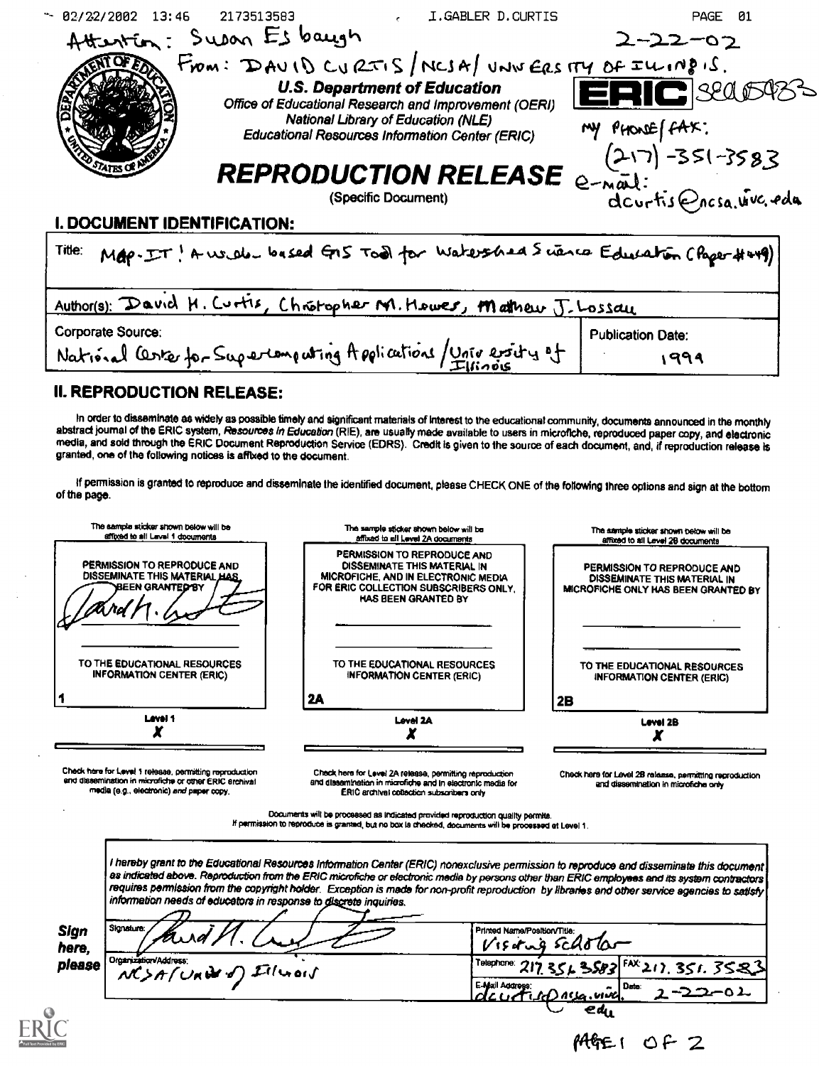| $- 02/22/2002$ 13:46        | 2173513583               | I.GABLER D.CURTIS                                                                            | PAGE 01                                                                      |
|-----------------------------|--------------------------|----------------------------------------------------------------------------------------------|------------------------------------------------------------------------------|
|                             | Attention: Supon Esbayan |                                                                                              | $2 - 22 - 02$                                                                |
|                             |                          | From: $D A U   D C U   2\pi i S   N C I A   U N U E R S   T Y D F I U   198 iS$ .            |                                                                              |
|                             |                          | <b>U.S. Department of Education</b><br>Office of Educational Research and Improvement (OERI) | ERIC SECOSS                                                                  |
|                             |                          | National Library of Education (NLE)<br>Educational Resources Information Center (ERIC)       | MY PHONE (FAX:                                                               |
|                             |                          |                                                                                              | $(217) - 351 - 3583$<br>REPRODUCTION RELEASE e-not:<br>dcurtis@ncsa.utvc.edu |
|                             |                          |                                                                                              |                                                                              |
| I. DOCUMENT IDENTIFICATION: |                          |                                                                                              |                                                                              |
| Title:                      |                          |                                                                                              | Map-IT! A well based GIS Tool for Watershed Science Education (Paper # urg)  |

| Author(s): David H. Curtis, Chrotopher M. Hewer, Mathew J. Lossau |                          |
|-------------------------------------------------------------------|--------------------------|
| Corporate Source:                                                 | <b>Publication Date:</b> |
| National Certer for Supertempating Applications / University of   | 994                      |

# **II. REPRODUCTION RELEASE:**

media (e.g., electronic) and paper copy.

In order to disseminate as widely as possible timely and significant materials of Interest to the educational community, documents announced in the monthly abstract journal of the ERIC system, Resources in Education (RIE), are usually made available to users in microfiche, reproduced paper copy, and electronic media, and sold through the ERIC Document Reproduction Service (EDRS). Credit is given to the source of each document, and, if reproduction release is granted, one of the following notices is affixed to the document.

If permission is granted to reproduce and disseminate the identified document, please CHECK ONE of the following three options and sign at the bottom of the page.

| The sample sticker shown below will be                                                          | The sample sticker shown below will be                                                                                                                             | The admiple sticker shown below will be                                                            |
|-------------------------------------------------------------------------------------------------|--------------------------------------------------------------------------------------------------------------------------------------------------------------------|----------------------------------------------------------------------------------------------------|
| affixed to all Leval 1 documents                                                                | affixad to all Level 2A documents                                                                                                                                  | affixed to all Level 28 documents                                                                  |
| PERMISSION TO REPRODUCE AND<br>DISSEMINATE THIS MATERIAL HAS.<br><b>BEEN GRANTED BY</b><br>n Na | PERMISSION TO REPRODUCE AND<br>DISSEMINATE THIS MATERIAL IN<br>MICROFICHE, AND IN ELECTRONIC MEDIA<br>FOR ERIC COLLECTION SUBSCRIBERS ONLY.<br>HAS BEEN GRANTED BY | PERMISSION TO REPRODUCE AND<br>DISSEMINATE THIS MATERIAL IN<br>MICROFICHE ONLY HAS BEEN GRANTED BY |
| TO THE EDUCATIONAL RESOURCES                                                                    | TO THE EDUCATIONAL RESOURCES                                                                                                                                       | TO THE EDUCATIONAL RESOURCES                                                                       |
| <b>INFORMATION CENTER (ERIC)</b>                                                                | <b>INFORMATION CENTER (ERIC)</b>                                                                                                                                   | <b>INFORMATION CENTER (ERIC)</b>                                                                   |
|                                                                                                 | 2A                                                                                                                                                                 | 2B                                                                                                 |
| Level 1                                                                                         | Level 2A                                                                                                                                                           | Level 2B                                                                                           |
| Check hare for Level 1 release, permitting reproduction                                         | Check here for Level 2A release, permitting reproduction                                                                                                           | Check here for Level 2B release, permitting reproduction                                           |
| and dissemination in microfiche or other ERIC archival                                          | and dissemination in microfiche and in electronic media for                                                                                                        | and dissemination in microfiche only                                                               |

Documents will be processed as indicated provided reproduction quality permits.

If permission to reproduce is granted, but no box is checked, documents will be processed at Level 1.

ERIC archival collection subscribers only

I hereby grant to the Educational Resources Information Center (ERIC) nonexclusive permission to reproduce and disseminate this document as indicated above. Reproduction from the ERIC microfiche or electronic media by persons other than ERIC employees and its system contractors requires permission from the copyright holder. Exception is made for non-profit reproduction by libraries and other service agencies to satisfy information needs of educators in response to discrete inquiries.

| Sign<br>here. | Slanatura:                                                | Printed Name/Position/Title:<br>VISTING SCASTO     |
|---------------|-----------------------------------------------------------|----------------------------------------------------|
| please        | <sup>1</sup> Organization/Address:<br>NCSA(Under) Illuois | Telephone: 217.3543 SSB3 FAX.217.351.3523          |
|               |                                                           | E-Afrail Address:<br>  Date:<br>devetito nua viva. |
|               |                                                           | ea,                                                |

AGEI OF Z